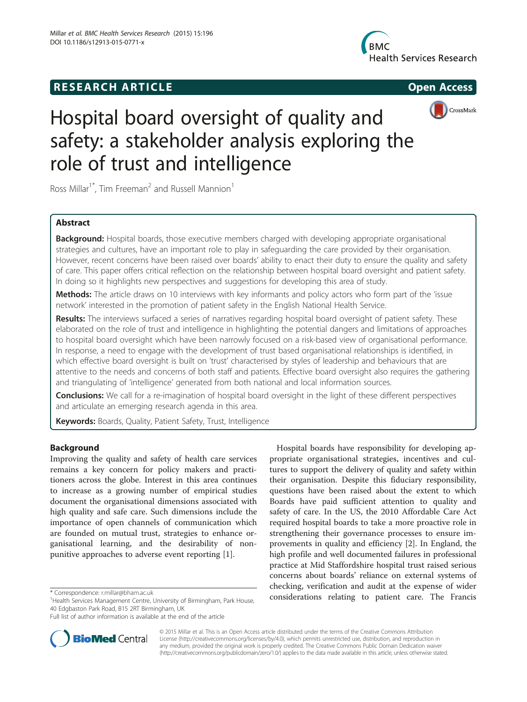# **RESEARCH ARTICLE Example 2014 12:30 The SEAR CHA RESEARCH ARTICLE**







# Hospital board oversight of quality and safety: a stakeholder analysis exploring the role of trust and intelligence

Ross Millar<sup>1\*</sup>, Tim Freeman<sup>2</sup> and Russell Mannion<sup>1</sup>

# Abstract

Background: Hospital boards, those executive members charged with developing appropriate organisational strategies and cultures, have an important role to play in safeguarding the care provided by their organisation. However, recent concerns have been raised over boards' ability to enact their duty to ensure the quality and safety of care. This paper offers critical reflection on the relationship between hospital board oversight and patient safety. In doing so it highlights new perspectives and suggestions for developing this area of study.

**Methods:** The article draws on 10 interviews with key informants and policy actors who form part of the 'issue network' interested in the promotion of patient safety in the English National Health Service.

Results: The interviews surfaced a series of narratives regarding hospital board oversight of patient safety. These elaborated on the role of trust and intelligence in highlighting the potential dangers and limitations of approaches to hospital board oversight which have been narrowly focused on a risk-based view of organisational performance. In response, a need to engage with the development of trust based organisational relationships is identified, in which effective board oversight is built on 'trust' characterised by styles of leadership and behaviours that are attentive to the needs and concerns of both staff and patients. Effective board oversight also requires the gathering and triangulating of 'intelligence' generated from both national and local information sources.

**Conclusions:** We call for a re-imagination of hospital board oversight in the light of these different perspectives and articulate an emerging research agenda in this area.

Keywords: Boards, Quality, Patient Safety, Trust, Intelligence

# Background

Improving the quality and safety of health care services remains a key concern for policy makers and practitioners across the globe. Interest in this area continues to increase as a growing number of empirical studies document the organisational dimensions associated with high quality and safe care. Such dimensions include the importance of open channels of communication which are founded on mutual trust, strategies to enhance organisational learning, and the desirability of nonpunitive approaches to adverse event reporting [\[1\]](#page-10-0).

Full list of author information is available at the end of the article





© 2015 Millar et al. This is an Open Access article distributed under the terms of the Creative Commons Attribution License (<http://creativecommons.org/licenses/by/4.0>), which permits unrestricted use, distribution, and reproduction in any medium, provided the original work is properly credited. The Creative Commons Public Domain Dedication waiver [\(http://creativecommons.org/publicdomain/zero/1.0/](http://creativecommons.org/publicdomain/zero/1.0/)) applies to the data made available in this article, unless otherwise stated.

<sup>&</sup>lt;sup>1</sup>Health Services Management Centre, University of Birmingham, Park House, 40 Edgbaston Park Road, B15 2RT Birmingham, UK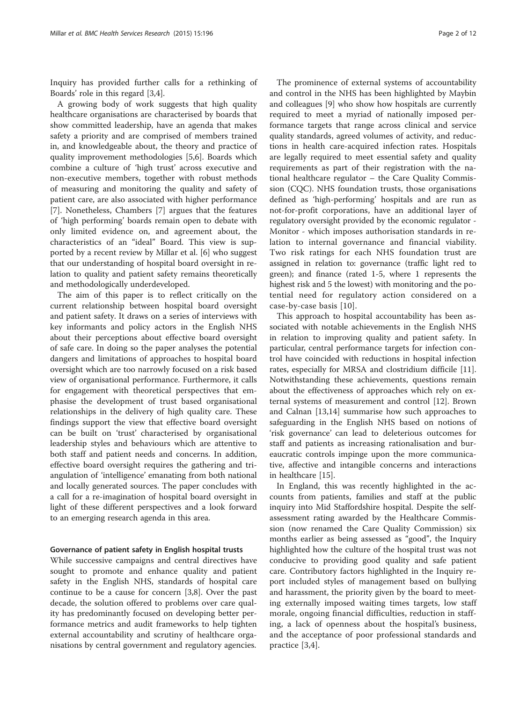Inquiry has provided further calls for a rethinking of Boards' role in this regard [\[3,4](#page-10-0)].

A growing body of work suggests that high quality healthcare organisations are characterised by boards that show committed leadership, have an agenda that makes safety a priority and are comprised of members trained in, and knowledgeable about, the theory and practice of quality improvement methodologies [\[5,6](#page-10-0)]. Boards which combine a culture of 'high trust' across executive and non-executive members, together with robust methods of measuring and monitoring the quality and safety of patient care, are also associated with higher performance [[7\]](#page-10-0). Nonetheless, Chambers [\[7\]](#page-10-0) argues that the features of 'high performing' boards remain open to debate with only limited evidence on, and agreement about, the characteristics of an "ideal" Board. This view is supported by a recent review by Millar et al. [[6](#page-10-0)] who suggest that our understanding of hospital board oversight in relation to quality and patient safety remains theoretically and methodologically underdeveloped.

The aim of this paper is to reflect critically on the current relationship between hospital board oversight and patient safety. It draws on a series of interviews with key informants and policy actors in the English NHS about their perceptions about effective board oversight of safe care. In doing so the paper analyses the potential dangers and limitations of approaches to hospital board oversight which are too narrowly focused on a risk based view of organisational performance. Furthermore, it calls for engagement with theoretical perspectives that emphasise the development of trust based organisational relationships in the delivery of high quality care. These findings support the view that effective board oversight can be built on 'trust' characterised by organisational leadership styles and behaviours which are attentive to both staff and patient needs and concerns. In addition, effective board oversight requires the gathering and triangulation of 'intelligence' emanating from both national and locally generated sources. The paper concludes with a call for a re-imagination of hospital board oversight in light of these different perspectives and a look forward to an emerging research agenda in this area.

#### Governance of patient safety in English hospital trusts

While successive campaigns and central directives have sought to promote and enhance quality and patient safety in the English NHS, standards of hospital care continue to be a cause for concern [[3,8\]](#page-10-0). Over the past decade, the solution offered to problems over care quality has predominantly focused on developing better performance metrics and audit frameworks to help tighten external accountability and scrutiny of healthcare organisations by central government and regulatory agencies.

The prominence of external systems of accountability and control in the NHS has been highlighted by Maybin and colleagues [[9\]](#page-10-0) who show how hospitals are currently required to meet a myriad of nationally imposed performance targets that range across clinical and service quality standards, agreed volumes of activity, and reductions in health care-acquired infection rates. Hospitals are legally required to meet essential safety and quality requirements as part of their registration with the national healthcare regulator – the Care Quality Commission (CQC). NHS foundation trusts, those organisations defined as 'high-performing' hospitals and are run as not-for-profit corporations, have an additional layer of regulatory oversight provided by the economic regulator - Monitor - which imposes authorisation standards in relation to internal governance and financial viability. Two risk ratings for each NHS foundation trust are assigned in relation to: governance (traffic light red to green); and finance (rated 1-5, where 1 represents the highest risk and 5 the lowest) with monitoring and the potential need for regulatory action considered on a case-by-case basis [[10\]](#page-10-0).

This approach to hospital accountability has been associated with notable achievements in the English NHS in relation to improving quality and patient safety. In particular, central performance targets for infection control have coincided with reductions in hospital infection rates, especially for MRSA and clostridium difficile [\[11](#page-10-0)]. Notwithstanding these achievements, questions remain about the effectiveness of approaches which rely on external systems of measurement and control [[12\]](#page-10-0). Brown and Calnan [[13](#page-10-0),[14](#page-10-0)] summarise how such approaches to safeguarding in the English NHS based on notions of 'risk governance' can lead to deleterious outcomes for staff and patients as increasing rationalisation and bureaucratic controls impinge upon the more communicative, affective and intangible concerns and interactions in healthcare [[15\]](#page-10-0).

In England, this was recently highlighted in the accounts from patients, families and staff at the public inquiry into Mid Staffordshire hospital. Despite the selfassessment rating awarded by the Healthcare Commission (now renamed the Care Quality Commission) six months earlier as being assessed as "good", the Inquiry highlighted how the culture of the hospital trust was not conducive to providing good quality and safe patient care. Contributory factors highlighted in the Inquiry report included styles of management based on bullying and harassment, the priority given by the board to meeting externally imposed waiting times targets, low staff morale, ongoing financial difficulties, reduction in staffing, a lack of openness about the hospital's business, and the acceptance of poor professional standards and practice [[3,4](#page-10-0)].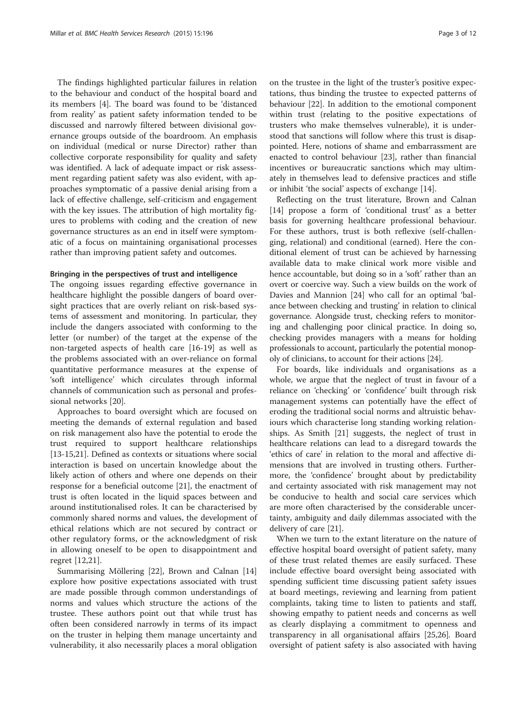The findings highlighted particular failures in relation to the behaviour and conduct of the hospital board and its members [\[4](#page-10-0)]. The board was found to be 'distanced from reality' as patient safety information tended to be discussed and narrowly filtered between divisional governance groups outside of the boardroom. An emphasis on individual (medical or nurse Director) rather than collective corporate responsibility for quality and safety was identified. A lack of adequate impact or risk assessment regarding patient safety was also evident, with approaches symptomatic of a passive denial arising from a lack of effective challenge, self-criticism and engagement with the key issues. The attribution of high mortality figures to problems with coding and the creation of new governance structures as an end in itself were symptomatic of a focus on maintaining organisational processes rather than improving patient safety and outcomes.

#### Bringing in the perspectives of trust and intelligence

The ongoing issues regarding effective governance in healthcare highlight the possible dangers of board oversight practices that are overly reliant on risk-based systems of assessment and monitoring. In particular, they include the dangers associated with conforming to the letter (or number) of the target at the expense of the non-targeted aspects of health care [[16-19\]](#page-10-0) as well as the problems associated with an over-reliance on formal quantitative performance measures at the expense of 'soft intelligence' which circulates through informal channels of communication such as personal and professional networks [[20\]](#page-10-0).

Approaches to board oversight which are focused on meeting the demands of external regulation and based on risk management also have the potential to erode the trust required to support healthcare relationships [[13-15,21\]](#page-10-0). Defined as contexts or situations where social interaction is based on uncertain knowledge about the likely action of others and where one depends on their response for a beneficial outcome [[21\]](#page-10-0), the enactment of trust is often located in the liquid spaces between and around institutionalised roles. It can be characterised by commonly shared norms and values, the development of ethical relations which are not secured by contract or other regulatory forms, or the acknowledgment of risk in allowing oneself to be open to disappointment and regret [\[12](#page-10-0),[21\]](#page-10-0).

Summarising Möllering [[22](#page-10-0)], Brown and Calnan [[14](#page-10-0)] explore how positive expectations associated with trust are made possible through common understandings of norms and values which structure the actions of the trustee. These authors point out that while trust has often been considered narrowly in terms of its impact on the truster in helping them manage uncertainty and vulnerability, it also necessarily places a moral obligation

on the trustee in the light of the truster's positive expectations, thus binding the trustee to expected patterns of behaviour [[22](#page-10-0)]. In addition to the emotional component within trust (relating to the positive expectations of trusters who make themselves vulnerable), it is understood that sanctions will follow where this trust is disappointed. Here, notions of shame and embarrassment are enacted to control behaviour [[23](#page-10-0)], rather than financial incentives or bureaucratic sanctions which may ultimately in themselves lead to defensive practices and stifle or inhibit 'the social' aspects of exchange [\[14](#page-10-0)].

Reflecting on the trust literature, Brown and Calnan [[14\]](#page-10-0) propose a form of 'conditional trust' as a better basis for governing healthcare professional behaviour. For these authors, trust is both reflexive (self-challenging, relational) and conditional (earned). Here the conditional element of trust can be achieved by harnessing available data to make clinical work more visible and hence accountable, but doing so in a 'soft' rather than an overt or coercive way. Such a view builds on the work of Davies and Mannion [\[24](#page-10-0)] who call for an optimal 'balance between checking and trusting' in relation to clinical governance. Alongside trust, checking refers to monitoring and challenging poor clinical practice. In doing so, checking provides managers with a means for holding professionals to account, particularly the potential monopoly of clinicians, to account for their actions [\[24\]](#page-10-0).

For boards, like individuals and organisations as a whole, we argue that the neglect of trust in favour of a reliance on 'checking' or 'confidence' built through risk management systems can potentially have the effect of eroding the traditional social norms and altruistic behaviours which characterise long standing working relationships. As Smith [\[21](#page-10-0)] suggests, the neglect of trust in healthcare relations can lead to a disregard towards the 'ethics of care' in relation to the moral and affective dimensions that are involved in trusting others. Furthermore, the 'confidence' brought about by predictability and certainty associated with risk management may not be conducive to health and social care services which are more often characterised by the considerable uncertainty, ambiguity and daily dilemmas associated with the delivery of care [\[21](#page-10-0)].

When we turn to the extant literature on the nature of effective hospital board oversight of patient safety, many of these trust related themes are easily surfaced. These include effective board oversight being associated with spending sufficient time discussing patient safety issues at board meetings, reviewing and learning from patient complaints, taking time to listen to patients and staff, showing empathy to patient needs and concerns as well as clearly displaying a commitment to openness and transparency in all organisational affairs [[25](#page-10-0),[26](#page-10-0)]. Board oversight of patient safety is also associated with having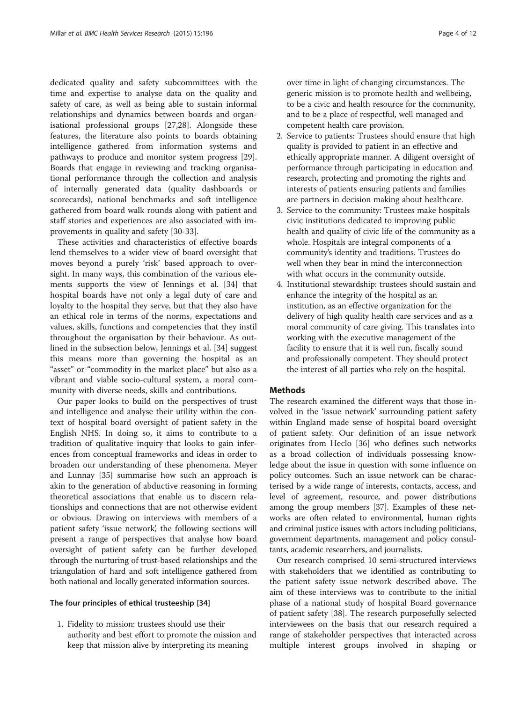dedicated quality and safety subcommittees with the time and expertise to analyse data on the quality and safety of care, as well as being able to sustain informal relationships and dynamics between boards and organisational professional groups [\[27,28\]](#page-10-0). Alongside these features, the literature also points to boards obtaining intelligence gathered from information systems and pathways to produce and monitor system progress [\[29](#page-10-0)]. Boards that engage in reviewing and tracking organisational performance through the collection and analysis of internally generated data (quality dashboards or scorecards), national benchmarks and soft intelligence gathered from board walk rounds along with patient and staff stories and experiences are also associated with improvements in quality and safety [\[30-33](#page-10-0)].

These activities and characteristics of effective boards lend themselves to a wider view of board oversight that moves beyond a purely 'risk' based approach to oversight. In many ways, this combination of the various elements supports the view of Jennings et al. [[34\]](#page-11-0) that hospital boards have not only a legal duty of care and loyalty to the hospital they serve, but that they also have an ethical role in terms of the norms, expectations and values, skills, functions and competencies that they instil throughout the organisation by their behaviour. As outlined in the subsection below, Jennings et al. [[34\]](#page-11-0) suggest this means more than governing the hospital as an "asset" or "commodity in the market place" but also as a vibrant and viable socio-cultural system, a moral community with diverse needs, skills and contributions.

Our paper looks to build on the perspectives of trust and intelligence and analyse their utility within the context of hospital board oversight of patient safety in the English NHS. In doing so, it aims to contribute to a tradition of qualitative inquiry that looks to gain inferences from conceptual frameworks and ideas in order to broaden our understanding of these phenomena. Meyer and Lunnay [[35\]](#page-11-0) summarise how such an approach is akin to the generation of abductive reasoning in forming theoretical associations that enable us to discern relationships and connections that are not otherwise evident or obvious. Drawing on interviews with members of a patient safety 'issue network', the following sections will present a range of perspectives that analyse how board oversight of patient safety can be further developed through the nurturing of trust-based relationships and the triangulation of hard and soft intelligence gathered from both national and locally generated information sources.

#### The four principles of ethical trusteeship [\[34\]](#page-11-0)

1. Fidelity to mission: trustees should use their authority and best effort to promote the mission and keep that mission alive by interpreting its meaning

- competent health care provision. 2. Service to patients: Trustees should ensure that high quality is provided to patient in an effective and ethically appropriate manner. A diligent oversight of performance through participating in education and research, protecting and promoting the rights and interests of patients ensuring patients and families are partners in decision making about healthcare.
- 3. Service to the community: Trustees make hospitals civic institutions dedicated to improving public health and quality of civic life of the community as a whole. Hospitals are integral components of a community's identity and traditions. Trustees do well when they bear in mind the interconnection with what occurs in the community outside.
- 4. Institutional stewardship: trustees should sustain and enhance the integrity of the hospital as an institution, as an effective organization for the delivery of high quality health care services and as a moral community of care giving. This translates into working with the executive management of the facility to ensure that it is well run, fiscally sound and professionally competent. They should protect the interest of all parties who rely on the hospital.

#### Methods

The research examined the different ways that those involved in the 'issue network' surrounding patient safety within England made sense of hospital board oversight of patient safety. Our definition of an issue network originates from Heclo [\[36](#page-11-0)] who defines such networks as a broad collection of individuals possessing knowledge about the issue in question with some influence on policy outcomes. Such an issue network can be characterised by a wide range of interests, contacts, access, and level of agreement, resource, and power distributions among the group members [[37](#page-11-0)]. Examples of these networks are often related to environmental, human rights and criminal justice issues with actors including politicians, government departments, management and policy consultants, academic researchers, and journalists.

Our research comprised 10 semi-structured interviews with stakeholders that we identified as contributing to the patient safety issue network described above. The aim of these interviews was to contribute to the initial phase of a national study of hospital Board governance of patient safety [\[38](#page-11-0)]. The research purposefully selected interviewees on the basis that our research required a range of stakeholder perspectives that interacted across multiple interest groups involved in shaping or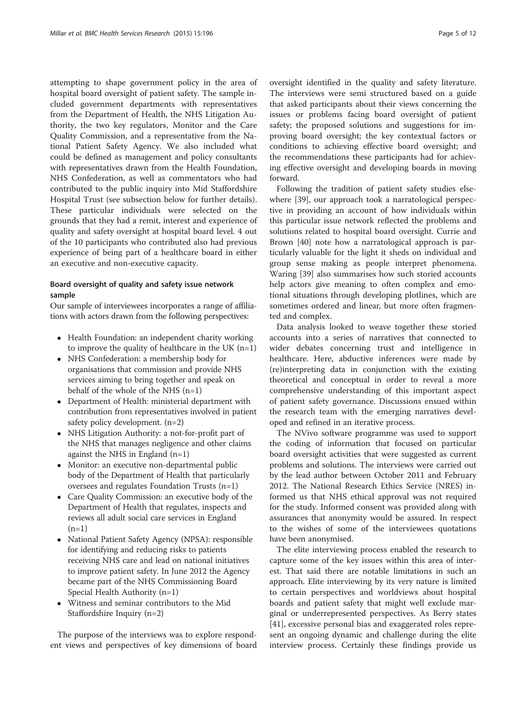attempting to shape government policy in the area of hospital board oversight of patient safety. The sample included government departments with representatives from the Department of Health, the NHS Litigation Authority, the two key regulators, Monitor and the Care Quality Commission, and a representative from the National Patient Safety Agency. We also included what could be defined as management and policy consultants with representatives drawn from the Health Foundation, NHS Confederation, as well as commentators who had contributed to the public inquiry into Mid Staffordshire Hospital Trust (see subsection below for further details). These particular individuals were selected on the grounds that they had a remit, interest and experience of quality and safety oversight at hospital board level. 4 out of the 10 participants who contributed also had previous experience of being part of a healthcare board in either an executive and non-executive capacity.

# Board oversight of quality and safety issue network sample

Our sample of interviewees incorporates a range of affiliations with actors drawn from the following perspectives:

- Health Foundation: an independent charity working to improve the quality of healthcare in the UK  $(n=1)$
- NHS Confederation: a membership body for organisations that commission and provide NHS services aiming to bring together and speak on behalf of the whole of the NHS (n=1)
- Department of Health: ministerial department with contribution from representatives involved in patient safety policy development. (n=2)
- NHS Litigation Authority: a not-for-profit part of the NHS that manages negligence and other claims against the NHS in England  $(n=1)$
- Monitor: an executive non-departmental public body of the Department of Health that particularly oversees and regulates Foundation Trusts (n=1)
- Care Quality Commission: an executive body of the Department of Health that regulates, inspects and reviews all adult social care services in England  $(n=1)$
- National Patient Safety Agency (NPSA): responsible for identifying and reducing risks to patients receiving NHS care and lead on national initiatives to improve patient safety. In June 2012 the Agency became part of the NHS Commissioning Board Special Health Authority (n=1)
- Witness and seminar contributors to the Mid Staffordshire Inquiry (n=2)

The purpose of the interviews was to explore respondent views and perspectives of key dimensions of board

oversight identified in the quality and safety literature. The interviews were semi structured based on a guide that asked participants about their views concerning the issues or problems facing board oversight of patient safety; the proposed solutions and suggestions for improving board oversight; the key contextual factors or conditions to achieving effective board oversight; and the recommendations these participants had for achieving effective oversight and developing boards in moving forward.

Following the tradition of patient safety studies elsewhere [\[39\]](#page-11-0), our approach took a narratological perspective in providing an account of how individuals within this particular issue network reflected the problems and solutions related to hospital board oversight. Currie and Brown [\[40\]](#page-11-0) note how a narratological approach is particularly valuable for the light it sheds on individual and group sense making as people interpret phenomena. Waring [[39\]](#page-11-0) also summarises how such storied accounts help actors give meaning to often complex and emotional situations through developing plotlines, which are sometimes ordered and linear, but more often fragmented and complex.

Data analysis looked to weave together these storied accounts into a series of narratives that connected to wider debates concerning trust and intelligence in healthcare. Here, abductive inferences were made by (re)interpreting data in conjunction with the existing theoretical and conceptual in order to reveal a more comprehensive understanding of this important aspect of patient safety governance. Discussions ensued within the research team with the emerging narratives developed and refined in an iterative process.

The NVivo software programme was used to support the coding of information that focused on particular board oversight activities that were suggested as current problems and solutions. The interviews were carried out by the lead author between October 2011 and February 2012. The National Research Ethics Service (NRES) informed us that NHS ethical approval was not required for the study. Informed consent was provided along with assurances that anonymity would be assured. In respect to the wishes of some of the interviewees quotations have been anonymised.

The elite interviewing process enabled the research to capture some of the key issues within this area of interest. That said there are notable limitations in such an approach. Elite interviewing by its very nature is limited to certain perspectives and worldviews about hospital boards and patient safety that might well exclude marginal or underrepresented perspectives. As Berry states [[41\]](#page-11-0), excessive personal bias and exaggerated roles represent an ongoing dynamic and challenge during the elite interview process. Certainly these findings provide us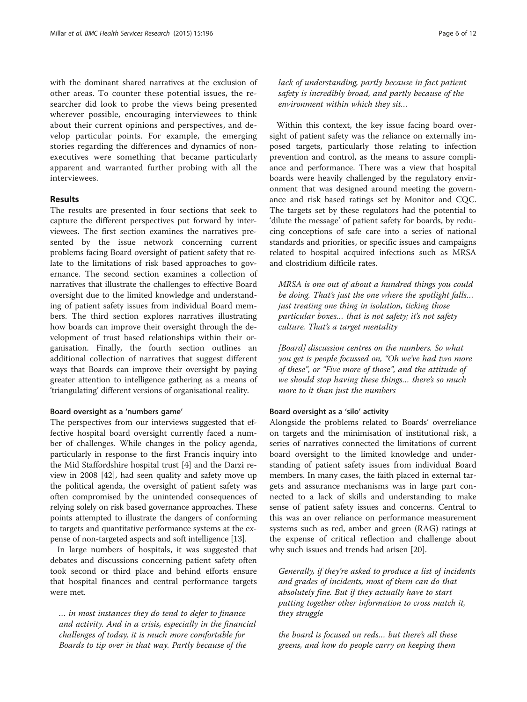with the dominant shared narratives at the exclusion of other areas. To counter these potential issues, the researcher did look to probe the views being presented wherever possible, encouraging interviewees to think about their current opinions and perspectives, and develop particular points. For example, the emerging stories regarding the differences and dynamics of nonexecutives were something that became particularly apparent and warranted further probing with all the interviewees.

#### Results

The results are presented in four sections that seek to capture the different perspectives put forward by interviewees. The first section examines the narratives presented by the issue network concerning current problems facing Board oversight of patient safety that relate to the limitations of risk based approaches to governance. The second section examines a collection of narratives that illustrate the challenges to effective Board oversight due to the limited knowledge and understanding of patient safety issues from individual Board members. The third section explores narratives illustrating how boards can improve their oversight through the development of trust based relationships within their organisation. Finally, the fourth section outlines an additional collection of narratives that suggest different ways that Boards can improve their oversight by paying greater attention to intelligence gathering as a means of 'triangulating' different versions of organisational reality.

## Board oversight as a 'numbers game'

The perspectives from our interviews suggested that effective hospital board oversight currently faced a number of challenges. While changes in the policy agenda, particularly in response to the first Francis inquiry into the Mid Staffordshire hospital trust [\[4](#page-10-0)] and the Darzi review in 2008 [\[42](#page-11-0)], had seen quality and safety move up the political agenda, the oversight of patient safety was often compromised by the unintended consequences of relying solely on risk based governance approaches. These points attempted to illustrate the dangers of conforming to targets and quantitative performance systems at the expense of non-targeted aspects and soft intelligence [\[13\]](#page-10-0).

In large numbers of hospitals, it was suggested that debates and discussions concerning patient safety often took second or third place and behind efforts ensure that hospital finances and central performance targets were met.

… in most instances they do tend to defer to finance and activity. And in a crisis, especially in the financial challenges of today, it is much more comfortable for Boards to tip over in that way. Partly because of the

lack of understanding, partly because in fact patient safety is incredibly broad, and partly because of the environment within which they sit…

Within this context, the key issue facing board oversight of patient safety was the reliance on externally imposed targets, particularly those relating to infection prevention and control, as the means to assure compliance and performance. There was a view that hospital boards were heavily challenged by the regulatory environment that was designed around meeting the governance and risk based ratings set by Monitor and CQC. The targets set by these regulators had the potential to 'dilute the message' of patient safety for boards, by reducing conceptions of safe care into a series of national standards and priorities, or specific issues and campaigns related to hospital acquired infections such as MRSA and clostridium difficile rates.

MRSA is one out of about a hundred things you could be doing. That's just the one where the spotlight falls… just treating one thing in isolation, ticking those particular boxes… that is not safety; it's not safety culture. That's a target mentality

[Board] discussion centres on the numbers. So what you get is people focussed on, "Oh we've had two more of these", or "Five more of those", and the attitude of we should stop having these things… there's so much more to it than just the numbers

## Board oversight as a 'silo' activity

Alongside the problems related to Boards' overreliance on targets and the minimisation of institutional risk, a series of narratives connected the limitations of current board oversight to the limited knowledge and understanding of patient safety issues from individual Board members. In many cases, the faith placed in external targets and assurance mechanisms was in large part connected to a lack of skills and understanding to make sense of patient safety issues and concerns. Central to this was an over reliance on performance measurement systems such as red, amber and green (RAG) ratings at the expense of critical reflection and challenge about why such issues and trends had arisen [\[20](#page-10-0)].

Generally, if they're asked to produce a list of incidents and grades of incidents, most of them can do that absolutely fine. But if they actually have to start putting together other information to cross match it, they struggle

the board is focused on reds… but there's all these greens, and how do people carry on keeping them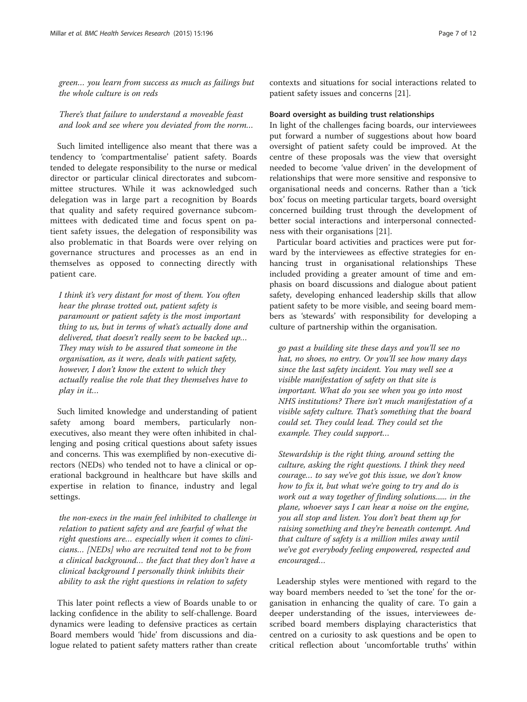green… you learn from success as much as failings but the whole culture is on reds

There's that failure to understand a moveable feast and look and see where you deviated from the norm…

Such limited intelligence also meant that there was a tendency to 'compartmentalise' patient safety. Boards tended to delegate responsibility to the nurse or medical director or particular clinical directorates and subcommittee structures. While it was acknowledged such delegation was in large part a recognition by Boards that quality and safety required governance subcommittees with dedicated time and focus spent on patient safety issues, the delegation of responsibility was also problematic in that Boards were over relying on governance structures and processes as an end in themselves as opposed to connecting directly with patient care.

I think it's very distant for most of them. You often hear the phrase trotted out, patient safety is paramount or patient safety is the most important thing to us, but in terms of what's actually done and delivered, that doesn't really seem to be backed up… They may wish to be assured that someone in the organisation, as it were, deals with patient safety, however, I don't know the extent to which they actually realise the role that they themselves have to play in it…

Such limited knowledge and understanding of patient safety among board members, particularly nonexecutives, also meant they were often inhibited in challenging and posing critical questions about safety issues and concerns. This was exemplified by non-executive directors (NEDs) who tended not to have a clinical or operational background in healthcare but have skills and expertise in relation to finance, industry and legal settings.

the non-execs in the main feel inhibited to challenge in relation to patient safety and are fearful of what the right questions are… especially when it comes to clinicians… [NEDs] who are recruited tend not to be from a clinical background… the fact that they don't have a clinical background I personally think inhibits their ability to ask the right questions in relation to safety

This later point reflects a view of Boards unable to or lacking confidence in the ability to self-challenge. Board dynamics were leading to defensive practices as certain Board members would 'hide' from discussions and dialogue related to patient safety matters rather than create contexts and situations for social interactions related to patient safety issues and concerns [\[21](#page-10-0)].

#### Board oversight as building trust relationships

In light of the challenges facing boards, our interviewees put forward a number of suggestions about how board oversight of patient safety could be improved. At the centre of these proposals was the view that oversight needed to become 'value driven' in the development of relationships that were more sensitive and responsive to organisational needs and concerns. Rather than a 'tick box' focus on meeting particular targets, board oversight concerned building trust through the development of better social interactions and interpersonal connectedness with their organisations [\[21\]](#page-10-0).

Particular board activities and practices were put forward by the interviewees as effective strategies for enhancing trust in organisational relationships These included providing a greater amount of time and emphasis on board discussions and dialogue about patient safety, developing enhanced leadership skills that allow patient safety to be more visible, and seeing board members as 'stewards' with responsibility for developing a culture of partnership within the organisation.

go past a building site these days and you'll see no hat, no shoes, no entry. Or you'll see how many days since the last safety incident. You may well see a visible manifestation of safety on that site is important. What do you see when you go into most NHS institutions? There isn't much manifestation of a visible safety culture. That's something that the board could set. They could lead. They could set the example. They could support…

Stewardship is the right thing, around setting the culture, asking the right questions. I think they need courage… to say we've got this issue, we don't know how to fix it, but what we're going to try and do is work out a way together of finding solutions...... in the plane, whoever says I can hear a noise on the engine, you all stop and listen. You don't beat them up for raising something and they're beneath contempt. And that culture of safety is a million miles away until we've got everybody feeling empowered, respected and encouraged…

Leadership styles were mentioned with regard to the way board members needed to 'set the tone' for the organisation in enhancing the quality of care. To gain a deeper understanding of the issues, interviewees described board members displaying characteristics that centred on a curiosity to ask questions and be open to critical reflection about 'uncomfortable truths' within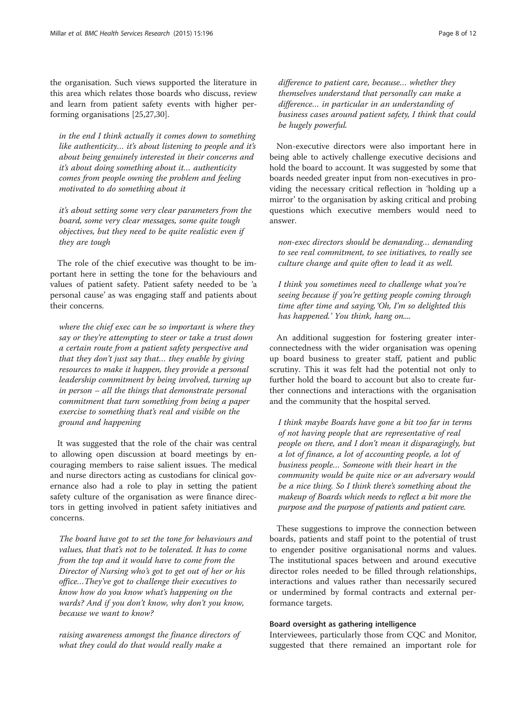the organisation. Such views supported the literature in this area which relates those boards who discuss, review and learn from patient safety events with higher performing organisations [\[25,27,30](#page-10-0)].

in the end I think actually it comes down to something like authenticity… it's about listening to people and it's about being genuinely interested in their concerns and it's about doing something about it… authenticity comes from people owning the problem and feeling motivated to do something about it

it's about setting some very clear parameters from the board, some very clear messages, some quite tough objectives, but they need to be quite realistic even if they are tough

The role of the chief executive was thought to be important here in setting the tone for the behaviours and values of patient safety. Patient safety needed to be 'a personal cause' as was engaging staff and patients about their concerns.

where the chief exec can be so important is where they say or they're attempting to steer or take a trust down a certain route from a patient safety perspective and that they don't just say that… they enable by giving resources to make it happen, they provide a personal leadership commitment by being involved, turning up in person – all the things that demonstrate personal commitment that turn something from being a paper exercise to something that's real and visible on the ground and happening

It was suggested that the role of the chair was central to allowing open discussion at board meetings by encouraging members to raise salient issues. The medical and nurse directors acting as custodians for clinical governance also had a role to play in setting the patient safety culture of the organisation as were finance directors in getting involved in patient safety initiatives and concerns.

The board have got to set the tone for behaviours and values, that that's not to be tolerated. It has to come from the top and it would have to come from the Director of Nursing who's got to get out of her or his office…They've got to challenge their executives to know how do you know what's happening on the wards? And if you don't know, why don't you know, because we want to know?

raising awareness amongst the finance directors of what they could do that would really make a

difference to patient care, because… whether they themselves understand that personally can make a difference… in particular in an understanding of business cases around patient safety, I think that could be hugely powerful.

Non-executive directors were also important here in being able to actively challenge executive decisions and hold the board to account. It was suggested by some that boards needed greater input from non-executives in providing the necessary critical reflection in 'holding up a mirror' to the organisation by asking critical and probing questions which executive members would need to answer.

non-exec directors should be demanding… demanding to see real commitment, to see initiatives, to really see culture change and quite often to lead it as well.

I think you sometimes need to challenge what you're seeing because if you're getting people coming through time after time and saying, 'Oh, I'm so delighted this has happened.' You think, hang on....

An additional suggestion for fostering greater interconnectedness with the wider organisation was opening up board business to greater staff, patient and public scrutiny. This it was felt had the potential not only to further hold the board to account but also to create further connections and interactions with the organisation and the community that the hospital served.

I think maybe Boards have gone a bit too far in terms of not having people that are representative of real people on there, and I don't mean it disparagingly, but a lot of finance, a lot of accounting people, a lot of business people… Someone with their heart in the community would be quite nice or an adversary would be a nice thing. So I think there's something about the makeup of Boards which needs to reflect a bit more the purpose and the purpose of patients and patient care.

These suggestions to improve the connection between boards, patients and staff point to the potential of trust to engender positive organisational norms and values. The institutional spaces between and around executive director roles needed to be filled through relationships, interactions and values rather than necessarily secured or undermined by formal contracts and external performance targets.

#### Board oversight as gathering intelligence

Interviewees, particularly those from CQC and Monitor, suggested that there remained an important role for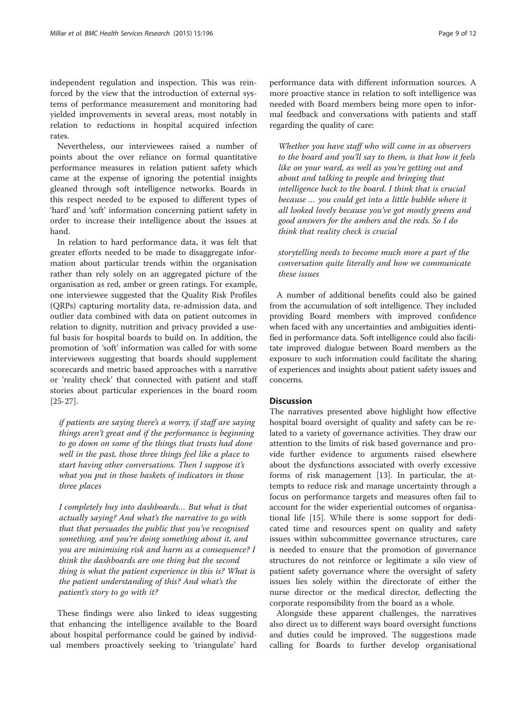independent regulation and inspection. This was reinforced by the view that the introduction of external systems of performance measurement and monitoring had yielded improvements in several areas, most notably in relation to reductions in hospital acquired infection rates.

Nevertheless, our interviewees raised a number of points about the over reliance on formal quantitative performance measures in relation patient safety which came at the expense of ignoring the potential insights gleaned through soft intelligence networks. Boards in this respect needed to be exposed to different types of 'hard' and 'soft' information concerning patient safety in order to increase their intelligence about the issues at hand.

In relation to hard performance data, it was felt that greater efforts needed to be made to disaggregate information about particular trends within the organisation rather than rely solely on an aggregated picture of the organisation as red, amber or green ratings. For example, one interviewee suggested that the Quality Risk Profiles (QRPs) capturing mortality data, re-admission data, and outlier data combined with data on patient outcomes in relation to dignity, nutrition and privacy provided a useful basis for hospital boards to build on. In addition, the promotion of 'soft' information was called for with some interviewees suggesting that boards should supplement scorecards and metric based approaches with a narrative or 'reality check' that connected with patient and staff stories about particular experiences in the board room [[25-27](#page-10-0)].

if patients are saying there's a worry, if staff are saying things aren't great and if the performance is beginning to go down on some of the things that trusts had done well in the past, those three things feel like a place to start having other conversations. Then I suppose it's what you put in those baskets of indicators in those three places

I completely buy into dashboards… But what is that actually saying? And what's the narrative to go with that that persuades the public that you've recognised something, and you're doing something about it, and you are minimising risk and harm as a consequence? I think the dashboards are one thing but the second thing is what the patient experience in this is? What is the patient understanding of this? And what's the patient's story to go with it?

These findings were also linked to ideas suggesting that enhancing the intelligence available to the Board about hospital performance could be gained by individual members proactively seeking to 'triangulate' hard performance data with different information sources. A more proactive stance in relation to soft intelligence was needed with Board members being more open to informal feedback and conversations with patients and staff regarding the quality of care:

Whether you have staff who will come in as observers to the board and you'll say to them, is that how it feels like on your ward, as well as you're getting out and about and talking to people and bringing that intelligence back to the board. I think that is crucial because … you could get into a little bubble where it all looked lovely because you've got mostly greens and good answers for the ambers and the reds. So I do think that reality check is crucial

storytelling needs to become much more a part of the conversation quite literally and how we communicate these issues

A number of additional benefits could also be gained from the accumulation of soft intelligence. They included providing Board members with improved confidence when faced with any uncertainties and ambiguities identified in performance data. Soft intelligence could also facilitate improved dialogue between Board members as the exposure to such information could facilitate the sharing of experiences and insights about patient safety issues and concerns.

## Discussion

The narratives presented above highlight how effective hospital board oversight of quality and safety can be related to a variety of governance activities. They draw our attention to the limits of risk based governance and provide further evidence to arguments raised elsewhere about the dysfunctions associated with overly excessive forms of risk management [[13](#page-10-0)]. In particular, the attempts to reduce risk and manage uncertainty through a focus on performance targets and measures often fail to account for the wider experiential outcomes of organisational life [[15\]](#page-10-0). While there is some support for dedicated time and resources spent on quality and safety issues within subcommittee governance structures, care is needed to ensure that the promotion of governance structures do not reinforce or legitimate a silo view of patient safety governance where the oversight of safety issues lies solely within the directorate of either the nurse director or the medical director, deflecting the corporate responsibility from the board as a whole.

Alongside these apparent challenges, the narratives also direct us to different ways board oversight functions and duties could be improved. The suggestions made calling for Boards to further develop organisational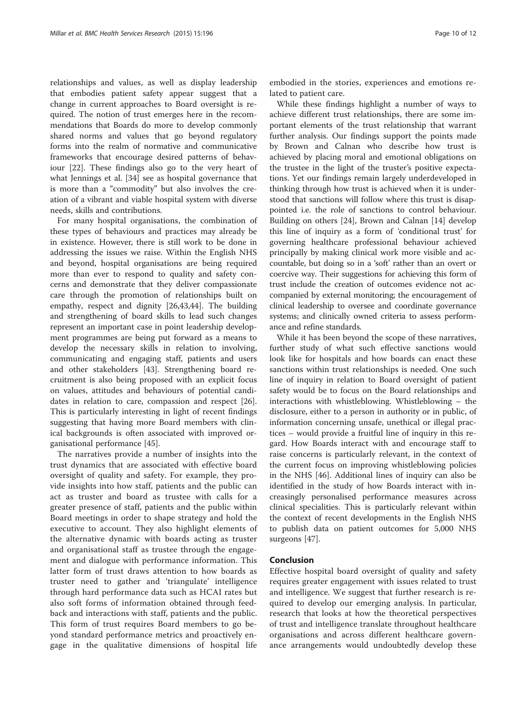relationships and values, as well as display leadership that embodies patient safety appear suggest that a change in current approaches to Board oversight is required. The notion of trust emerges here in the recommendations that Boards do more to develop commonly shared norms and values that go beyond regulatory forms into the realm of normative and communicative frameworks that encourage desired patterns of behaviour [\[22](#page-10-0)]. These findings also go to the very heart of what Jennings et al. [[34\]](#page-11-0) see as hospital governance that is more than a "commodity" but also involves the creation of a vibrant and viable hospital system with diverse needs, skills and contributions.

For many hospital organisations, the combination of these types of behaviours and practices may already be in existence. However, there is still work to be done in addressing the issues we raise. Within the English NHS and beyond, hospital organisations are being required more than ever to respond to quality and safety concerns and demonstrate that they deliver compassionate care through the promotion of relationships built on empathy, respect and dignity [[26,](#page-10-0)[43,44\]](#page-11-0). The building and strengthening of board skills to lead such changes represent an important case in point leadership development programmes are being put forward as a means to develop the necessary skills in relation to involving, communicating and engaging staff, patients and users and other stakeholders [\[43\]](#page-11-0). Strengthening board recruitment is also being proposed with an explicit focus on values, attitudes and behaviours of potential candidates in relation to care, compassion and respect [\[26](#page-10-0)]. This is particularly interesting in light of recent findings suggesting that having more Board members with clinical backgrounds is often associated with improved organisational performance [[45\]](#page-11-0).

The narratives provide a number of insights into the trust dynamics that are associated with effective board oversight of quality and safety. For example, they provide insights into how staff, patients and the public can act as truster and board as trustee with calls for a greater presence of staff, patients and the public within Board meetings in order to shape strategy and hold the executive to account. They also highlight elements of the alternative dynamic with boards acting as truster and organisational staff as trustee through the engagement and dialogue with performance information. This latter form of trust draws attention to how boards as truster need to gather and 'triangulate' intelligence through hard performance data such as HCAI rates but also soft forms of information obtained through feedback and interactions with staff, patients and the public. This form of trust requires Board members to go beyond standard performance metrics and proactively engage in the qualitative dimensions of hospital life

embodied in the stories, experiences and emotions related to patient care.

While these findings highlight a number of ways to achieve different trust relationships, there are some important elements of the trust relationship that warrant further analysis. Our findings support the points made by Brown and Calnan who describe how trust is achieved by placing moral and emotional obligations on the trustee in the light of the truster's positive expectations. Yet our findings remain largely underdeveloped in thinking through how trust is achieved when it is understood that sanctions will follow where this trust is disappointed i.e. the role of sanctions to control behaviour. Building on others [\[24\]](#page-10-0), Brown and Calnan [[14\]](#page-10-0) develop this line of inquiry as a form of 'conditional trust' for governing healthcare professional behaviour achieved principally by making clinical work more visible and accountable, but doing so in a 'soft' rather than an overt or coercive way. Their suggestions for achieving this form of trust include the creation of outcomes evidence not accompanied by external monitoring; the encouragement of clinical leadership to oversee and coordinate governance systems; and clinically owned criteria to assess performance and refine standards.

While it has been beyond the scope of these narratives, further study of what such effective sanctions would look like for hospitals and how boards can enact these sanctions within trust relationships is needed. One such line of inquiry in relation to Board oversight of patient safety would be to focus on the Board relationships and interactions with whistleblowing. Whistleblowing – the disclosure, either to a person in authority or in public, of information concerning unsafe, unethical or illegal practices – would provide a fruitful line of inquiry in this regard. How Boards interact with and encourage staff to raise concerns is particularly relevant, in the context of the current focus on improving whistleblowing policies in the NHS [[46](#page-11-0)]. Additional lines of inquiry can also be identified in the study of how Boards interact with increasingly personalised performance measures across clinical specialities. This is particularly relevant within the context of recent developments in the English NHS to publish data on patient outcomes for 5,000 NHS surgeons [[47\]](#page-11-0).

#### Conclusion

Effective hospital board oversight of quality and safety requires greater engagement with issues related to trust and intelligence. We suggest that further research is required to develop our emerging analysis. In particular, research that looks at how the theoretical perspectives of trust and intelligence translate throughout healthcare organisations and across different healthcare governance arrangements would undoubtedly develop these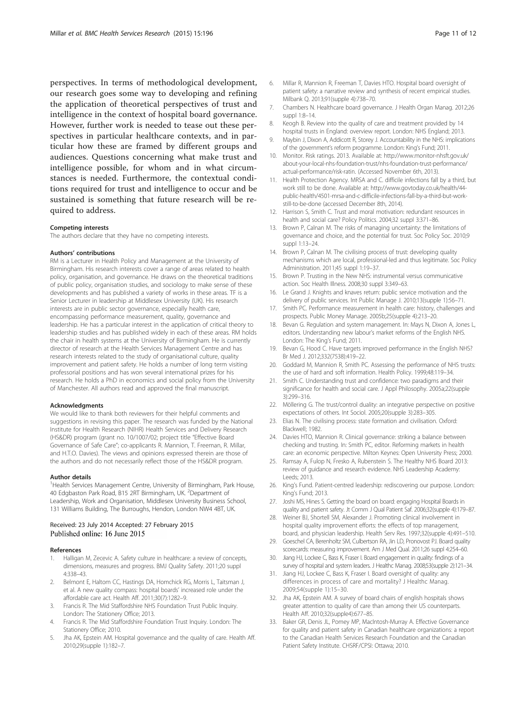<span id="page-10-0"></span>perspectives. In terms of methodological development, our research goes some way to developing and refining the application of theoretical perspectives of trust and intelligence in the context of hospital board governance. However, further work is needed to tease out these perspectives in particular healthcare contexts, and in particular how these are framed by different groups and audiences. Questions concerning what make trust and intelligence possible, for whom and in what circumstances is needed. Furthermore, the contextual conditions required for trust and intelligence to occur and be sustained is something that future research will be required to address.

#### Competing interests

The authors declare that they have no competing interests.

#### Authors' contributions

RM is a Lecturer in Health Policy and Management at the University of Birmingham. His research interests cover a range of areas related to health policy, organisation, and governance. He draws on the theoretical traditions of public policy, organisation studies, and sociology to make sense of these developments and has published a variety of works in these areas. TF is a Senior Lecturer in leadership at Middlesex University (UK). His research interests are in public sector governance, especially health care, encompassing performance measurement, quality, governance and leadership. He has a particular interest in the application of critical theory to leadership studies and has published widely in each of these areas. RM holds the chair in health systems at the University of Birmingham. He is currently director of research at the Health Services Management Centre and has research interests related to the study of organisational culture, quality improvement and patient safety. He holds a number of long term visiting professorial positions and has won several international prizes for his research. He holds a PhD in economics and social policy from the University of Manchester. All authors read and approved the final manuscript.

#### Acknowledgments

We would like to thank both reviewers for their helpful comments and suggestions in revising this paper. The research was funded by the National Institute for Health Research (NIHR) Health Services and Delivery Research (HS&DR) program (grant no. 10/1007/02; project title "Effective Board Governance of Safe Care"; co-applicants R. Mannion, T. Freeman, R. Millar, and H.T.O. Davies). The views and opinions expressed therein are those of the authors and do not necessarily reflect those of the HS&DR program.

#### Author details

<sup>1</sup> Health Services Management Centre, University of Birmingham, Park House, 40 Edgbaston Park Road, B15 2RT Birmingham, UK. <sup>2</sup>Department of Leadership, Work and Organisation, Middlesex University Business School, 131 Williams Building, The Burroughs, Hendon, London NW4 4BT, UK.

#### Received: 23 July 2014 Accepted: 27 February 2015 Published online: 16 June 2015

#### References

- Halligan M, Zecevic A. Safety culture in healthcare: a review of concepts, dimensions, measures and progress. BMJ Quality Safety. 2011;20 suppl 4:338–43.
- 2. Belmont E, Haltom CC, Hastings DA, Homchick RG, Morris L, Taitsman J, et al. A new quality compass: hospital boards' increased role under the affordable care act. Health Aff. 2011;30(7):1282–9.
- 3. Francis R. The Mid Staffordshire NHS Foundation Trust Public Inquiry. London: The Stationery Office; 2013.
- 4. Francis R. The Mid Staffordshire Foundation Trust Inquiry. London: The Stationery Office; 2010.
- 5. Jha AK, Epstein AM. Hospital governance and the quality of care. Health Aff. 2010;29(supple 1):182–7.
- 6. Millar R, Mannion R, Freeman T, Davies HTO. Hospital board oversight of patient safety: a narrative review and synthesis of recent empirical studies. Milbank Q. 2013;91(supple 4):738–70.
- 7. Chambers N. Healthcare board governance. J Health Organ Manag. 2012;26 suppl 1:8–14.
- 8. Keogh B. Review into the quality of care and treatment provided by 14 hospital trusts in England: overview report. London: NHS England; 2013.
- 9. Maybin J, Dixon A, Addicott R, Storey J. Accountability in the NHS: implications of the government's reform programme. London: King's Fund; 2011.
- 10. Monitor. Risk ratings. 2013. Available at: [http://www.monitor-nhsft.gov.uk/](http://www.monitor-nhsft.gov.uk/about-your-local-nhs-foundation-trust/nhs-foundation-trust-performance/actual-performance/risk-ratin) [about-your-local-nhs-foundation-trust/nhs-foundation-trust-performance/](http://www.monitor-nhsft.gov.uk/about-your-local-nhs-foundation-trust/nhs-foundation-trust-performance/actual-performance/risk-ratin) [actual-performance/risk-ratin](http://www.monitor-nhsft.gov.uk/about-your-local-nhs-foundation-trust/nhs-foundation-trust-performance/actual-performance/risk-ratin). (Accessed November 6th, 2013).
- 11. Health Protection Agency. MRSA and C. difficile infections fall by a third, but work still to be done. Available at: [http://www.govtoday.co.uk/health/44](http://www.govtoday.co.uk/health/44-public-health/4501-mrsa-and-c-difficile-infections-fall-by-a-third-but-work-still-to-be-done) [public-health/4501-mrsa-and-c-difficile-infections-fall-by-a-third-but-work](http://www.govtoday.co.uk/health/44-public-health/4501-mrsa-and-c-difficile-infections-fall-by-a-third-but-work-still-to-be-done)[still-to-be-done](http://www.govtoday.co.uk/health/44-public-health/4501-mrsa-and-c-difficile-infections-fall-by-a-third-but-work-still-to-be-done) (accessed December 8th, 2014).
- 12. Harrison S, Smith C. Trust and moral motivation: redundant resources in health and social care? Policy Politics. 2004;32 suppl 3:371–86.
- 13. Brown P, Calnan M. The risks of managing uncertainty: the limitations of governance and choice, and the potential for trust. Soc Policy Soc. 2010;9 suppl 1:13–24.
- 14. Brown P, Calnan M. The civilising process of trust: developing quality mechanisms which are local, professional-led and thus legitimate. Soc Policy Administration. 2011;45 suppl 1:19–37.
- 15. Brown P. Trusting in the New NHS: instrumental versus communicative action. Soc Health Illness. 2008;30 suppl 3:349–63.
- 16. Le Grand J. Knights and knaves return: public service motivation and the delivery of public services. Int Public Manage J. 2010;13(supple 1):56–71.
- 17. Smith PC. Performance measurement in health care: history, challenges and prospects. Public Money Manage. 2005b;25(supple 4):213–20.
- 18. Bevan G. Regulation and system management. In: Mays N, Dixon A, Jones L, editors. Understanding new labour's market reforms of the English NHS. London: The King's Fund; 2011.
- 19. Bevan G, Hood C. Have targets improved performance in the English NHS? Br Med J. 2012;332(7538):419–22.
- 20. Goddard M, Mannion R, Smith PC. Assessing the performance of NHS trusts: the use of hard and soft information. Health Policy. 1999;48:119–34.
- 21. Smith C. Understanding trust and confidence: two paradigms and their significance for health and social care. J Appl Philosophy. 2005a;22(supple 3):299–316.
- 22. Möllering G. The trust/control duality: an integrative perspective on positive expectations of others. Int Sociol. 2005;20(supple 3):283–305.
- 23. Elias N. The civilising process: state formation and civilisation. Oxford: Blackwell; 1982.
- 24. Davies HTO, Mannion R. Clinical governance: striking a balance between checking and trusting. In: Smith PC, editor. Reforming markets in health care: an economic perspective. Milton Keynes: Open University Press; 2000.
- 25. Ramsay A, Fulop N, Fresko A, Rubenstein S. The Healthy NHS Board 2013: review of guidance and research evidence. NHS Leadership Academy: Leeds; 2013.
- 26. King's Fund. Patient-centred leadership: rediscovering our purpose. London: King's Fund; 2013.
- 27. Joshi MS, Hines S. Getting the board on board: engaging Hospital Boards in quality and patient safety. Jt Comm J Qual Patient Saf. 2006;32(supple 4):179–87.
- 28. Weiner BJ, Shortell SM, Alexander J. Promoting clinical involvement in hospital quality improvement efforts: the effects of top management, board, and physician leadership. Health Serv Res. 1997;32(supple 4):491–510.
- 29. Goeschel CA, Berenholtz SM, Culbertson RA, Jin LD, Pronovost PJ. Board quality scorecards: measuring improvement. Am J Med Qual. 2011;26 suppl 4:254–60.
- 30. Jiang HJ, Lockee C, Bass K, Fraser I. Board engagement in quality: findings of a survey of hospital and system leaders. J Healthc Manag. 2008;53(supple 2):121–34.
- 31. Jiang HJ, Lockee C, Bass K, Fraser I. Board oversight of quality: any differences in process of care and mortality? J Healthc Manag. 2009;54(supple 1):15–30.
- 32. Jha AK, Epstein AM. A survey of board chairs of english hospitals shows greater attention to quality of care than among their US counterparts. Health Aff. 2010;32(supple4):677–85.
- 33. Baker GR, Denis JL, Pomey MP, MacIntosh-Murray A. Effective Governance for quality and patient safety in Canadian healthcare organizations: a report to the Canadian Health Services Research Foundation and the Canadian Patient Safety Institute. CHSRF/CPSI: Ottawa; 2010.